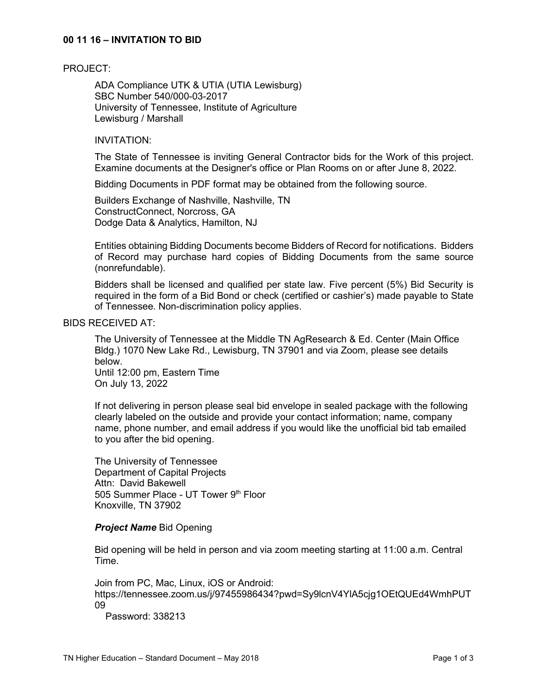# **00 11 16 – INVITATION TO BID**

#### PROJECT:

ADA Compliance UTK & UTIA (UTIA Lewisburg) SBC Number 540/000-03-2017 University of Tennessee, Institute of Agriculture Lewisburg / Marshall

# INVITATION:

The State of Tennessee is inviting General Contractor bids for the Work of this project. Examine documents at the Designer's office or Plan Rooms on or after June 8, 2022.

Bidding Documents in PDF format may be obtained from the following source.

Builders Exchange of Nashville, Nashville, TN ConstructConnect, Norcross, GA Dodge Data & Analytics, Hamilton, NJ

Entities obtaining Bidding Documents become Bidders of Record for notifications. Bidders of Record may purchase hard copies of Bidding Documents from the same source (nonrefundable).

Bidders shall be licensed and qualified per state law. Five percent (5%) Bid Security is required in the form of a Bid Bond or check (certified or cashier's) made payable to State of Tennessee. Non-discrimination policy applies.

# BIDS RECEIVED AT:

The University of Tennessee at the Middle TN AgResearch & Ed. Center (Main Office Bldg.) 1070 New Lake Rd., Lewisburg, TN 37901 and via Zoom, please see details below.

Until 12:00 pm, Eastern Time On July 13, 2022

If not delivering in person please seal bid envelope in sealed package with the following clearly labeled on the outside and provide your contact information; name, company name, phone number, and email address if you would like the unofficial bid tab emailed to you after the bid opening.

The University of Tennessee Department of Capital Projects Attn: David Bakewell 505 Summer Place - UT Tower 9th Floor Knoxville, TN 37902

#### *Project Name* Bid Opening

Bid opening will be held in person and via zoom meeting starting at 11:00 a.m. Central Time.

Join from PC, Mac, Linux, iOS or Android: https://tennessee.zoom.us/j/97455986434?pwd=Sy9lcnV4YlA5cjg1OEtQUEd4WmhPUT 09

Password: 338213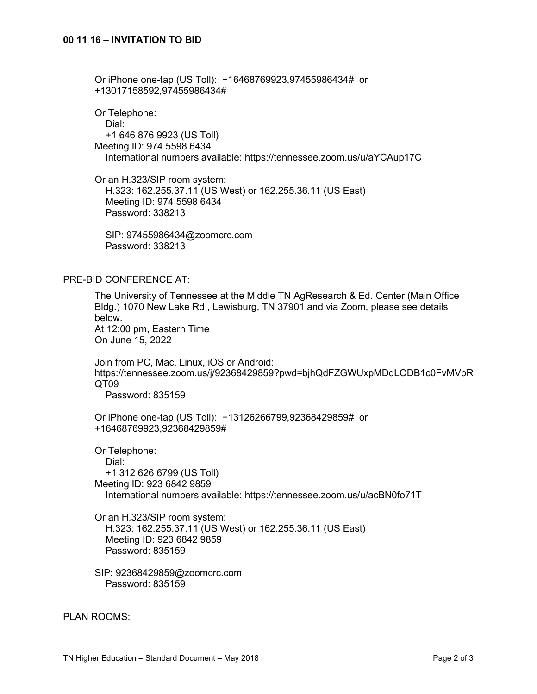Or iPhone one-tap (US Toll): +16468769923,97455986434# or +13017158592,97455986434#

Or Telephone: Dial: +1 646 876 9923 (US Toll) Meeting ID: 974 5598 6434 International numbers available: https://tennessee.zoom.us/u/aYCAup17C

Or an H.323/SIP room system: H.323: 162.255.37.11 (US West) or 162.255.36.11 (US East) Meeting ID: 974 5598 6434 Password: 338213

 SIP: 97455986434@zoomcrc.com Password: 338213

### PRE-BID CONFERENCE AT:

The University of Tennessee at the Middle TN AgResearch & Ed. Center (Main Office Bldg.) 1070 New Lake Rd., Lewisburg, TN 37901 and via Zoom, please see details below. At 12:00 pm, Eastern Time On June 15, 2022

Join from PC, Mac, Linux, iOS or Android: https://tennessee.zoom.us/j/92368429859?pwd=bjhQdFZGWUxpMDdLODB1c0FvMVpR QT09

Password: 835159

Or iPhone one-tap (US Toll): +13126266799,92368429859# or +16468769923,92368429859#

Or Telephone: Dial: +1 312 626 6799 (US Toll) Meeting ID: 923 6842 9859 International numbers available: https://tennessee.zoom.us/u/acBN0fo71T

Or an H.323/SIP room system: H.323: 162.255.37.11 (US West) or 162.255.36.11 (US East) Meeting ID: 923 6842 9859 Password: 835159

SIP: 92368429859@zoomcrc.com Password: 835159

PLAN ROOMS: